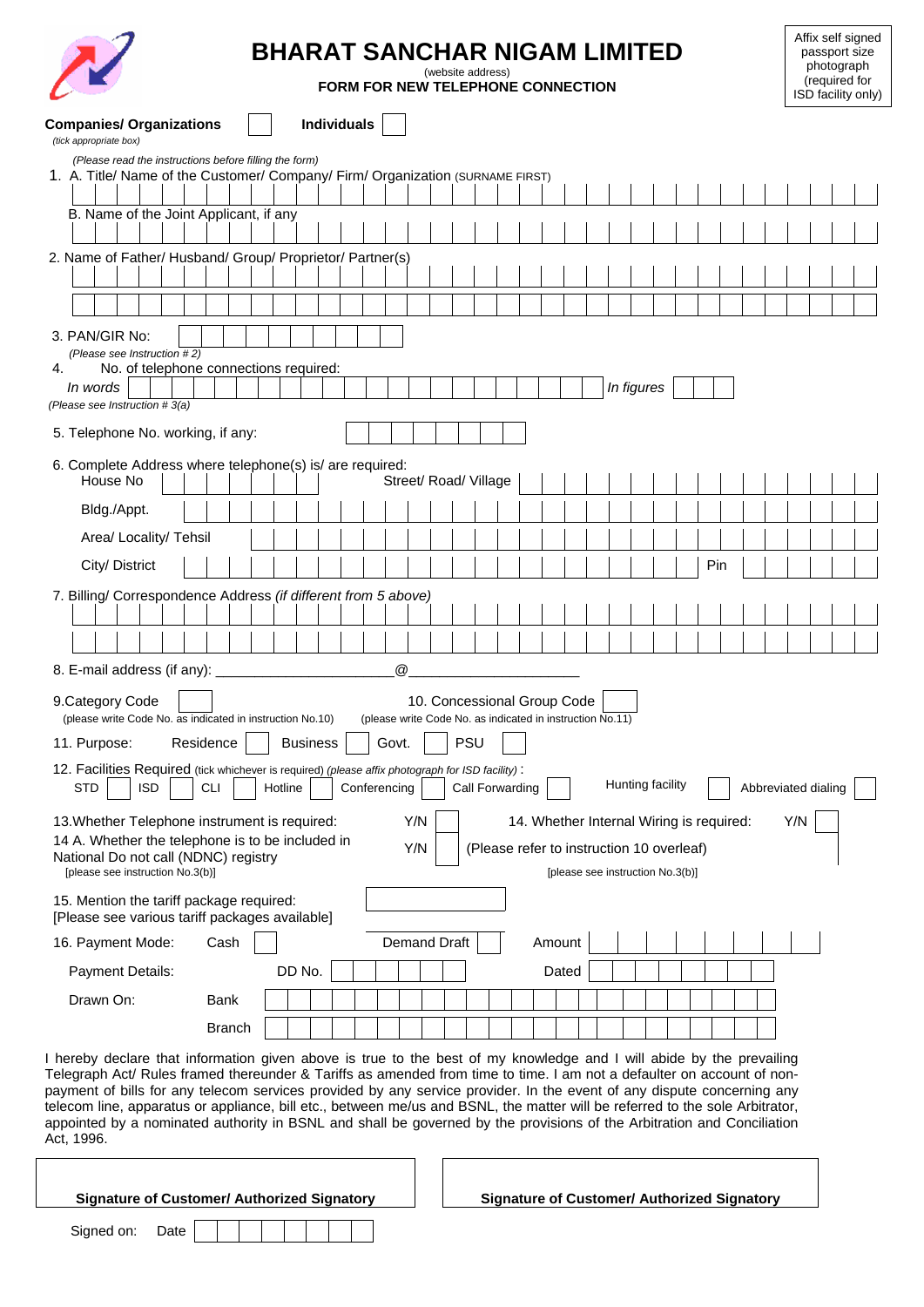

## **BHARAT SANCHAR NIGAM LIMITED**

(website address) **FORM FOR NEW TELEPHONE CONNECTION**

Affix self signed passport size photograph (required for ISD facility only)

| <b>Companies/ Organizations</b><br>(tick appropriate box)                                                                                                                                                                                                                                                                                                                                                                                                                                                                                                                                                                                        |               |                 | <b>Individuals</b> |              |                 |                                                                                          |            |                 |  |        |       |                                                                                                                           |            |                  |  |     |  |     |                     |  |
|--------------------------------------------------------------------------------------------------------------------------------------------------------------------------------------------------------------------------------------------------------------------------------------------------------------------------------------------------------------------------------------------------------------------------------------------------------------------------------------------------------------------------------------------------------------------------------------------------------------------------------------------------|---------------|-----------------|--------------------|--------------|-----------------|------------------------------------------------------------------------------------------|------------|-----------------|--|--------|-------|---------------------------------------------------------------------------------------------------------------------------|------------|------------------|--|-----|--|-----|---------------------|--|
| (Please read the instructions before filling the form)<br>1. A. Title/ Name of the Customer/ Company/ Firm/ Organization (SURNAME FIRST)                                                                                                                                                                                                                                                                                                                                                                                                                                                                                                         |               |                 |                    |              |                 |                                                                                          |            |                 |  |        |       |                                                                                                                           |            |                  |  |     |  |     |                     |  |
|                                                                                                                                                                                                                                                                                                                                                                                                                                                                                                                                                                                                                                                  |               |                 |                    |              |                 |                                                                                          |            |                 |  |        |       |                                                                                                                           |            |                  |  |     |  |     |                     |  |
| B. Name of the Joint Applicant, if any                                                                                                                                                                                                                                                                                                                                                                                                                                                                                                                                                                                                           |               |                 |                    |              |                 |                                                                                          |            |                 |  |        |       |                                                                                                                           |            |                  |  |     |  |     |                     |  |
|                                                                                                                                                                                                                                                                                                                                                                                                                                                                                                                                                                                                                                                  |               |                 |                    |              |                 |                                                                                          |            |                 |  |        |       |                                                                                                                           |            |                  |  |     |  |     |                     |  |
| 2. Name of Father/ Husband/ Group/ Proprietor/ Partner(s)                                                                                                                                                                                                                                                                                                                                                                                                                                                                                                                                                                                        |               |                 |                    |              |                 |                                                                                          |            |                 |  |        |       |                                                                                                                           |            |                  |  |     |  |     |                     |  |
|                                                                                                                                                                                                                                                                                                                                                                                                                                                                                                                                                                                                                                                  |               |                 |                    |              |                 |                                                                                          |            |                 |  |        |       |                                                                                                                           |            |                  |  |     |  |     |                     |  |
|                                                                                                                                                                                                                                                                                                                                                                                                                                                                                                                                                                                                                                                  |               |                 |                    |              |                 |                                                                                          |            |                 |  |        |       |                                                                                                                           |            |                  |  |     |  |     |                     |  |
| 3. PAN/GIR No:<br>(Please see Instruction #2)                                                                                                                                                                                                                                                                                                                                                                                                                                                                                                                                                                                                    |               |                 |                    |              |                 |                                                                                          |            |                 |  |        |       |                                                                                                                           |            |                  |  |     |  |     |                     |  |
| No. of telephone connections required:<br>4.                                                                                                                                                                                                                                                                                                                                                                                                                                                                                                                                                                                                     |               |                 |                    |              |                 |                                                                                          |            |                 |  |        |       |                                                                                                                           |            |                  |  |     |  |     |                     |  |
| In words<br>(Please see Instruction #3(a)                                                                                                                                                                                                                                                                                                                                                                                                                                                                                                                                                                                                        |               |                 |                    |              |                 |                                                                                          |            |                 |  |        |       |                                                                                                                           | In figures |                  |  |     |  |     |                     |  |
| 5. Telephone No. working, if any:                                                                                                                                                                                                                                                                                                                                                                                                                                                                                                                                                                                                                |               |                 |                    |              |                 |                                                                                          |            |                 |  |        |       |                                                                                                                           |            |                  |  |     |  |     |                     |  |
| 6. Complete Address where telephone(s) is/ are required:<br>House No                                                                                                                                                                                                                                                                                                                                                                                                                                                                                                                                                                             |               |                 |                    |              |                 | Street/ Road/ Village                                                                    |            |                 |  |        |       |                                                                                                                           |            |                  |  |     |  |     |                     |  |
| Bldg./Appt.                                                                                                                                                                                                                                                                                                                                                                                                                                                                                                                                                                                                                                      |               |                 |                    |              |                 |                                                                                          |            |                 |  |        |       |                                                                                                                           |            |                  |  |     |  |     |                     |  |
| Area/ Locality/ Tehsil                                                                                                                                                                                                                                                                                                                                                                                                                                                                                                                                                                                                                           |               |                 |                    |              |                 |                                                                                          |            |                 |  |        |       |                                                                                                                           |            |                  |  |     |  |     |                     |  |
|                                                                                                                                                                                                                                                                                                                                                                                                                                                                                                                                                                                                                                                  |               |                 |                    |              |                 |                                                                                          |            |                 |  |        |       |                                                                                                                           |            |                  |  | Pin |  |     |                     |  |
| City/District                                                                                                                                                                                                                                                                                                                                                                                                                                                                                                                                                                                                                                    |               |                 |                    |              |                 |                                                                                          |            |                 |  |        |       |                                                                                                                           |            |                  |  |     |  |     |                     |  |
| 7. Billing/ Correspondence Address (if different from 5 above)                                                                                                                                                                                                                                                                                                                                                                                                                                                                                                                                                                                   |               |                 |                    |              |                 |                                                                                          |            |                 |  |        |       |                                                                                                                           |            |                  |  |     |  |     |                     |  |
|                                                                                                                                                                                                                                                                                                                                                                                                                                                                                                                                                                                                                                                  |               |                 |                    |              |                 |                                                                                          |            |                 |  |        |       |                                                                                                                           |            |                  |  |     |  |     |                     |  |
| 8. E-mail address (if any):                                                                                                                                                                                                                                                                                                                                                                                                                                                                                                                                                                                                                      |               |                 |                    |              | $^{\copyright}$ |                                                                                          |            |                 |  |        |       |                                                                                                                           |            |                  |  |     |  |     |                     |  |
| 9. Category Code<br>(please write Code No. as indicated in instruction No.10)<br>11. Purpose:                                                                                                                                                                                                                                                                                                                                                                                                                                                                                                                                                    | Residence     | <b>Business</b> |                    |              | Govt.           | 10. Concessional Group Code<br>(please write Code No. as indicated in instruction No.11) | <b>PSU</b> |                 |  |        |       |                                                                                                                           |            |                  |  |     |  |     |                     |  |
| 12. Facilities Required (tick whichever is required) (please affix photograph for ISD facility):<br><b>STD</b><br><b>ISD</b>                                                                                                                                                                                                                                                                                                                                                                                                                                                                                                                     | <b>CLI</b>    | Hotline         |                    | Conferencing |                 |                                                                                          |            | Call Forwarding |  |        |       |                                                                                                                           |            | Hunting facility |  |     |  |     | Abbreviated dialing |  |
| 13. Whether Telephone instrument is required:<br>14 A. Whether the telephone is to be included in<br>National Do not call (NDNC) registry<br>[please see instruction No.3(b)]                                                                                                                                                                                                                                                                                                                                                                                                                                                                    |               |                 |                    |              |                 | Y/N<br>Y/N                                                                               |            |                 |  |        |       | 14. Whether Internal Wiring is required:<br>(Please refer to instruction 10 overleaf)<br>[please see instruction No.3(b)] |            |                  |  |     |  | Y/N |                     |  |
| 15. Mention the tariff package required:<br>[Please see various tariff packages available]                                                                                                                                                                                                                                                                                                                                                                                                                                                                                                                                                       |               |                 |                    |              |                 |                                                                                          |            |                 |  |        |       |                                                                                                                           |            |                  |  |     |  |     |                     |  |
| 16. Payment Mode:                                                                                                                                                                                                                                                                                                                                                                                                                                                                                                                                                                                                                                | Cash          |                 |                    |              |                 | <b>Demand Draft</b>                                                                      |            |                 |  | Amount |       |                                                                                                                           |            |                  |  |     |  |     |                     |  |
| Payment Details:                                                                                                                                                                                                                                                                                                                                                                                                                                                                                                                                                                                                                                 |               | DD No.          |                    |              |                 |                                                                                          |            |                 |  |        | Dated |                                                                                                                           |            |                  |  |     |  |     |                     |  |
| Drawn On:                                                                                                                                                                                                                                                                                                                                                                                                                                                                                                                                                                                                                                        | <b>Bank</b>   |                 |                    |              |                 |                                                                                          |            |                 |  |        |       |                                                                                                                           |            |                  |  |     |  |     |                     |  |
|                                                                                                                                                                                                                                                                                                                                                                                                                                                                                                                                                                                                                                                  | <b>Branch</b> |                 |                    |              |                 |                                                                                          |            |                 |  |        |       |                                                                                                                           |            |                  |  |     |  |     |                     |  |
| I hereby declare that information given above is true to the best of my knowledge and I will abide by the prevailing<br>Telegraph Act/ Rules framed thereunder & Tariffs as amended from time to time. I am not a defaulter on account of non-<br>payment of bills for any telecom services provided by any service provider. In the event of any dispute concerning any<br>telecom line, apparatus or appliance, bill etc., between me/us and BSNL, the matter will be referred to the sole Arbitrator,<br>appointed by a nominated authority in BSNL and shall be governed by the provisions of the Arbitration and Conciliation<br>Act, 1996. |               |                 |                    |              |                 |                                                                                          |            |                 |  |        |       |                                                                                                                           |            |                  |  |     |  |     |                     |  |
| <b>Signature of Customer/ Authorized Signatory</b>                                                                                                                                                                                                                                                                                                                                                                                                                                                                                                                                                                                               |               |                 |                    |              |                 |                                                                                          |            |                 |  |        |       | <b>Signature of Customer/ Authorized Signatory</b>                                                                        |            |                  |  |     |  |     |                     |  |
|                                                                                                                                                                                                                                                                                                                                                                                                                                                                                                                                                                                                                                                  |               |                 |                    |              |                 |                                                                                          |            |                 |  |        |       |                                                                                                                           |            |                  |  |     |  |     |                     |  |
| Signed on:<br>Date                                                                                                                                                                                                                                                                                                                                                                                                                                                                                                                                                                                                                               |               |                 |                    |              |                 |                                                                                          |            |                 |  |        |       |                                                                                                                           |            |                  |  |     |  |     |                     |  |